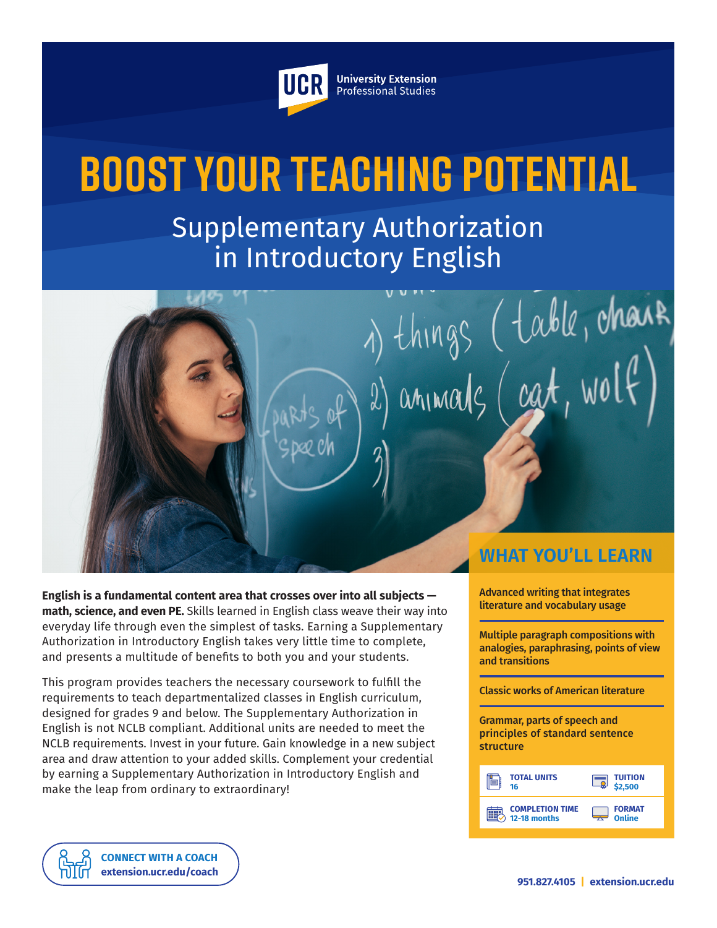

**University Extension** Professional Studies

# **Boost Your Teaching Potential**

Supplementary Authorization in Introductory English



**English is a fundamental content area that crosses over into all subjects math, science, and even PE.** Skills learned in English class weave their way into everyday life through even the simplest of tasks. Earning a Supplementary Authorization in Introductory English takes very little time to complete, and presents a multitude of benefits to both you and your students.

This program provides teachers the necessary coursework to fulfill the requirements to teach departmentalized classes in English curriculum, designed for grades 9 and below. The Supplementary Authorization in English is not NCLB compliant. Additional units are needed to meet the NCLB requirements. Invest in your future. Gain knowledge in a new subject area and draw attention to your added skills. Complement your credential by earning a Supplementary Authorization in Introductory English and make the leap from ordinary to extraordinary!

> **CONNECT WITH A COACH extension.ucr.edu/coach**

Advanced writing that integrates literature and vocabulary usage

Multiple paragraph compositions with analogies, paraphrasing, points of view and transitions

Classic works of American literature

Grammar, parts of speech and principles of standard sentence structure

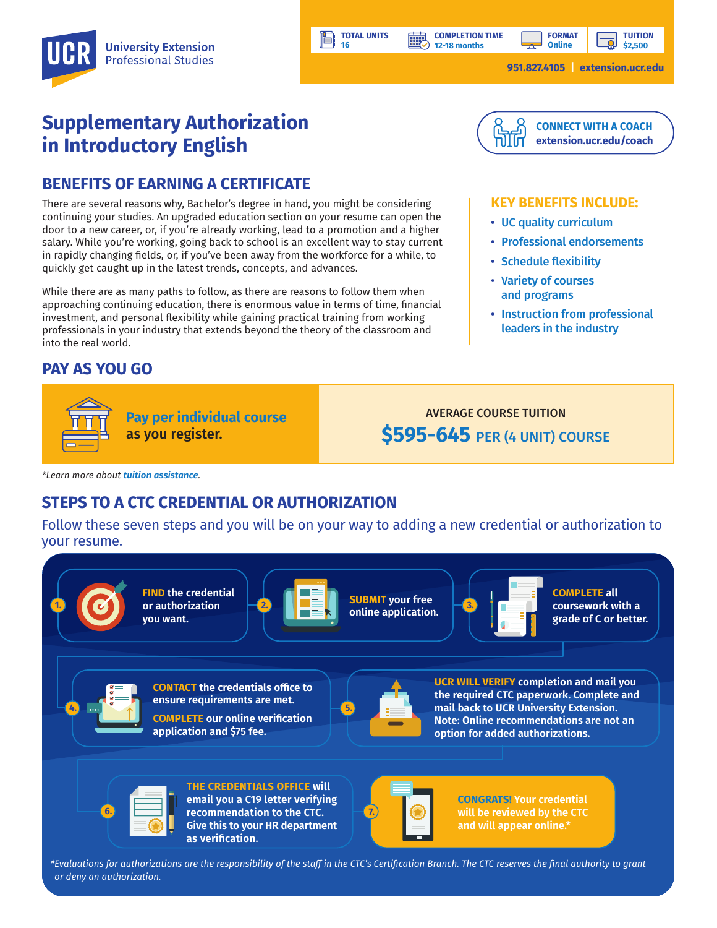**12-18 months**

**BBBP** 

**TUITION \$2,500**

**951.827.4105 | extension.ucr.edu**

# **Supplementary Authorization in Introductory English**

## **BENEFITS OF EARNING A CERTIFICATE**

There are several reasons why, Bachelor's degree in hand, you might be considering continuing your studies. An upgraded education section on your resume can open the door to a new career, or, if you're already working, lead to a promotion and a higher salary. While you're working, going back to school is an excellent way to stay current in rapidly changing fields, or, if you've been away from the workforce for a while, to quickly get caught up in the latest trends, concepts, and advances.

While there are as many paths to follow, as there are reasons to follow them when approaching continuing education, there is enormous value in terms of time, financial investment, and personal flexibility while gaining practical training from working professionals in your industry that extends beyond the theory of the classroom and into the real world.

### **PAY AS YOU GO**



AVERAGE COURSE TUITION **\$595-645** PER (4 UNIT) COURSE

*\*Learn more about tuition assistance.*

# **STEPS TO A CTC CREDENTIAL OR AUTHORIZATION**

Follow these seven steps and you will be on your way to adding a new credential or authorization to your resume.

**TOTAL UNITS 16**



*\*Evaluations for authorizations are the responsibility of the staff in the CTC's Certification Branch. The CTC reserves the final authority to grant or deny an authorization.*

![](_page_1_Picture_16.jpeg)

**CONNECT WITH A COACH extension.ucr.edu/coach**

#### **KEY BENEFITS INCLUDE:**

- UC quality curriculum
- Professional endorsements
- Schedule flexibility
- Variety of courses and programs
- Instruction from professional leaders in the industry